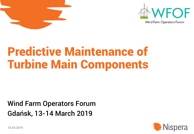



# Predictive Maintenance of Turbine Main Components

### Wind Farm Operators Forum Gdańsk, 13-14 March 2019



15.03.2019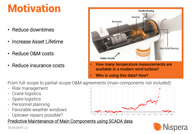# **Motivation**

- Reduce downtimes
- Increase Asset Lifetime
- Reduce O&M costs
- 



- Reduce insurance costs  **How many temperature measurements are** available in a modern wind turbine?
	- Who is using this data? How?

From full-scope to partial-scope O&M agreements (main components not included)

- Risk management
- Crane logistics
- Spare logistics
- Personnel planning
- Favorable weather windows
- Uptower repairs possible?





15.03.2019 | 2

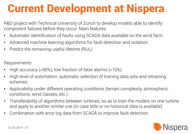## Current Development at Nispera

R&D project with Technical University of Zurich to develop models able to identify component failures before they occur. Main features:

- Automatic identification of faults using SCADA data available on the wind farm
- Advanced machine learning algorithms for fault detection and isolation
- Predict the remaining useful lifetime (RUL)

Requirements:

- High accuracy (>90%), low fraction of false alarms (<10%)
- High level of automation: automatic selection of training data sets and retraining schemes
- Applicability under different operating conditions (terrain complexity, atmospheric conditions, wind classes, etc.)
- Transferability of algorithms between turbines, so as to train the models on one turbine and apply to another similar one (in case little or no historical data is available)
- Combination with error log data from SCADA to improve fault detection

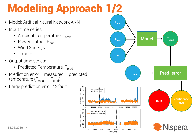# Modeling Approach 1/2

 $1.0$ 

measured faulty predicted, faulty

10500

5000

measures, healthy predicted, healthy

Gen\_Bear\_Temp\_Avg<br>Co o o o b<br>Co o o b b

 $0.0$ 

 $1.0$ 

 $0.2$ 

 $0.0$ 

 $\Omega$ 

9500

10000

2500

- Model: Artifical Neural Network ANN
- Input time series:
	- Ambient Temperature,  $T_{amb}$
	- Power Output,  $P_{out}$
	- Wind Speed, v
	- … more
- Output time series:
	- Predicted Temperature, T<sub>pred</sub>
- Prediction error = measured predicted temperature ( $T_{meas} - T_{pred}$ )
- Large prediction error  $\Leftrightarrow$  fault



15.03.2019 | 4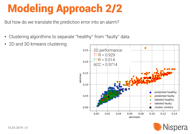# Modeling Approach 2/2

But how do we translate the prediction error into an alarm?

- Clustering algorithms to separate ''healthy'' from ''faulty'' data.
- 2D and 3D kmeans clustering



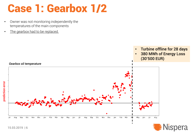### Case 1: Gearbox 1/2

- Owner was not monitoring independently the temperatures of the main components
- The gearbox had to be replaced.



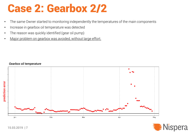### Case 2: Gearbox 2/2

- The same Owner started to monitoring independently the temperatures of the main components
- Increase in gearbox oil temperature was detected
- The reason was quickly identified (gear oil pump)
- Major problem on gearbox was avoided, without large effort.



### *Gearbox oil temperature*

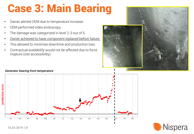## Case 3: Main Bearing

- Owner alerted OEM due to temperature increase.
- OEM performed video endoscopy.
- The damage was categorized in level 2-3 out of 5.
- Owner achieved to have component replaced before failure.
- This allowed to minimise downtime and production loss.
- Contractual availability would not be affected due to force majeure (site accessibility).



### *Generator bearing front temperature*



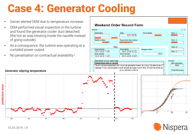### Case 4: Generator Cooling

- Owner alerted OEM due to temperature increase.
- OEM performed visual inspection in the turbine and found the generator cooler duct detached. (the hot air was blowing inside the nacelle instead of going outside).
- As a consequence, the turbine was operating at a curtailed power output.
- No penalisation on contractual availability !





### *Generator slipring temperature*

prediction error prediction errorFeb Aug Sep Oct Nov Dec lan Mar

15.03.2019 | 9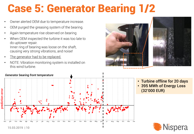### Case 5: Generator Bearing 1/2

- Owner alerted OEM due to temperature increase.
- OEM purged the greasing system of the bearing.
- Again temperature rise observed on bearing
- When OEM inspected the turbine it was too late to do uptower repair. Inner ring of bearing was loose on the shaft, causing very strong vibrations, and noise!
- The generator had to be replaced.
- NOTE: Vibration monitoring system is installed on this wind turbine.

# *Generator bearing front temperature* prediction error



- Turbine offline for 20 days
- 395 MWh of Energy Loss (32'000 EUR)



### 15.03.2019 | 10

prediction error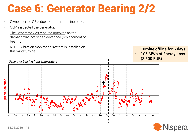### Case 6: Generator Bearing 2/2

- Owner alerted OEM due to temperature increase.
- OEM inspected the generator.
- The Generator was repaired uptower, as the damage was not yet so advanced (replacement of bearing).
- NOTE: Vibration monitoring system is installed on this wind turbine.



- Turbine offline for 6 days
- 105 MWh of Energy Loss (8'500 EUR)



### *Generator bearing front temperature*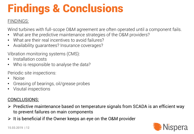# Findings & Conclusions

### FINDINGS:

Wind turbines with full-scope O&M agreement are often operated until a component fails.

- What are the predictive maintenance strategies of the O&M providers?
- What are their real incentives to avoid failures?
- Availability guarantees? Insurance coverages?

Vibration monitoring systems (CMS):

- Installation costs
- Who is responsible to analyse the data?

Periodic site inspections:

- Noise
- Greasing of bearings, oil/grease probes
- Visutal inspections

### CONCLUSIONS:

- $\triangleright$  Predictive maintenance based on temperature signals from SCADA is an efficient way to prevent failures on main components
- $\triangleright$  It is beneficial if the Owner keeps an eye on the O&M provider